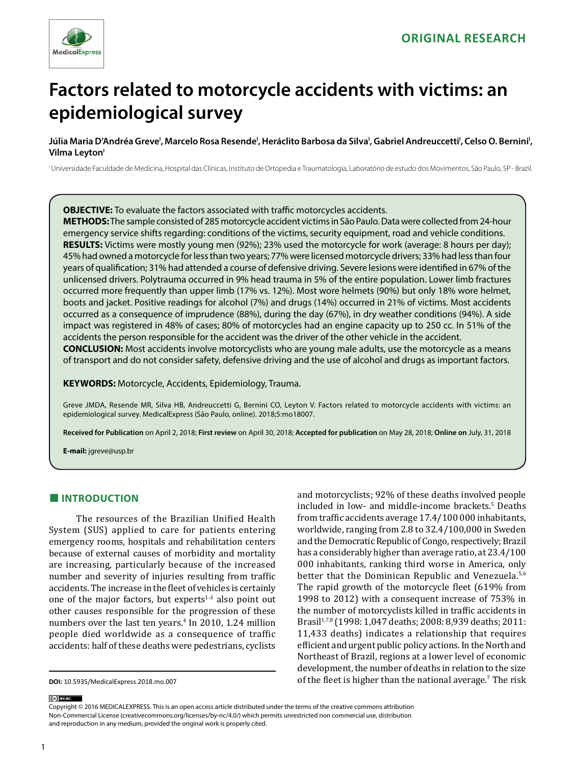

# **Factors related to motorcycle accidents with victims: an epidemiological survey**

Júlia Maria D'Andréa Greve', Marcelo Rosa Resende', Heráclito Barbosa da Silva', Gabriel Andreuccetti<sup>ı</sup>, Celso O. Bernini', **Vilma Leyton'** 

I Universidade Faculdade de Medicina, Hospital das Clínicas, Instituto de Ortopedia e Traumatologia, Laboratório de estudo dos Movimentos, São Paulo, SP - Brazil.

**OBJECTIVE:** To evaluate the factors associated with traffic motorcycles accidents.

**METHODS:** The sample consisted of 285 motorcycle accident victims in São Paulo. Data were collected from 24-hour emergency service shifts regarding: conditions of the victims, security equipment, road and vehicle conditions. **RESULTS:** Victims were mostly young men (92%); 23% used the motorcycle for work (average: 8 hours per day); 45% had owned a motorcycle for less than two years; 77% were licensed motorcycle drivers; 33% had less than four years of qualification; 31% had attended a course of defensive driving. Severe lesions were identified in 67% of the unlicensed drivers. Polytrauma occurred in 9% head trauma in 5% of the entire population. Lower limb fractures occurred more frequently than upper limb (17% vs. 12%). Most wore helmets (90%) but only 18% wore helmet, boots and jacket. Positive readings for alcohol (7%) and drugs (14%) occurred in 21% of victims. Most accidents occurred as a consequence of imprudence (88%), during the day (67%), in dry weather conditions (94%). A side impact was registered in 48% of cases; 80% of motorcycles had an engine capacity up to 250 cc. In 51% of the accidents the person responsible for the accident was the driver of the other vehicle in the accident. **CONCLUSION:** Most accidents involve motorcyclists who are young male adults, use the motorcycle as a means of transport and do not consider safety, defensive driving and the use of alcohol and drugs as important factors.

**KEYWORDS:** Motorcycle, Accidents, Epidemiology, Trauma.

Greve JMDA, Resende MR, Silva HB, Andreuccetti G, Bernini CO, Leyton V. Factors related to motorcycle accidents with victims: an epidemiological survey. MedicalExpress (São Paulo, online). 2018;5:mo18007.

**Received for Publication** on April 2, 2018; **First review** on April 30, 2018; **Accepted for publication** on May 28, 2018; **Online on** July, 31, 2018

**E-mail:** jgreve@usp.br

# **■ INTRODUCTION**

The resources of the Brazilian Unified Health System (SUS) applied to care for patients entering emergency rooms, hospitals and rehabilitation centers because of external causes of morbidity and mortality are increasing, particularly because of the increased number and severity of injuries resulting from traffic accidents. The increase in the fleet of vehicles is certainly one of the major factors, but experts $1-3$  also point out other causes responsible for the progression of these numbers over the last ten years.<sup>4</sup> In 2010, 1.24 million people died worldwide as a consequence of traffic accidents: half of these deaths were pedestrians, cyclists

and motorcyclists; 92% of these deaths involved people included in low- and middle-income brackets.<sup>5</sup> Deaths from traffic accidents average 17.4/100 000 inhabitants, worldwide, ranging from 2.8 to 32.4/100,000 in Sweden and the Democratic Republic of Congo, respectively; Brazil has a considerably higher than average ratio, at 23.4/100 000 inhabitants, ranking third worse in America, only better that the Dominican Republic and Venezuela.<sup>5,6</sup> The rapid growth of the motorcycle fleet (619% from 1998 to 2012) with a consequent increase of 753% in the number of motorcyclists killed in traffic accidents in Brasil1,7,8 (1998: 1,047 deaths; 2008: 8,939 deaths; 2011: 11,433 deaths) indicates a relationship that requires efficient and urgent public policy actions. In the North and Northeast of Brazil, regions at a lower level of economic development, the number of deaths in relation to the size of the fleet is higher than the national average.<sup>7</sup> The risk

(cc) BY-NC

Copyright © 2016 MEDICALEXPRESS. This is an open access article distributed under the terms of the creative commons attribution Non-Commercial License [\(creativecommons.org/licenses/by-nc/4.0/\)](http://creativecommons.org/licenses/by-nc/3.0/) which permits unrestricted non commercial use, distribution and reproduction in any medium, provided the original work is properly cited.

**DOI:** 10.5935/MedicalExpress.2018.mo.007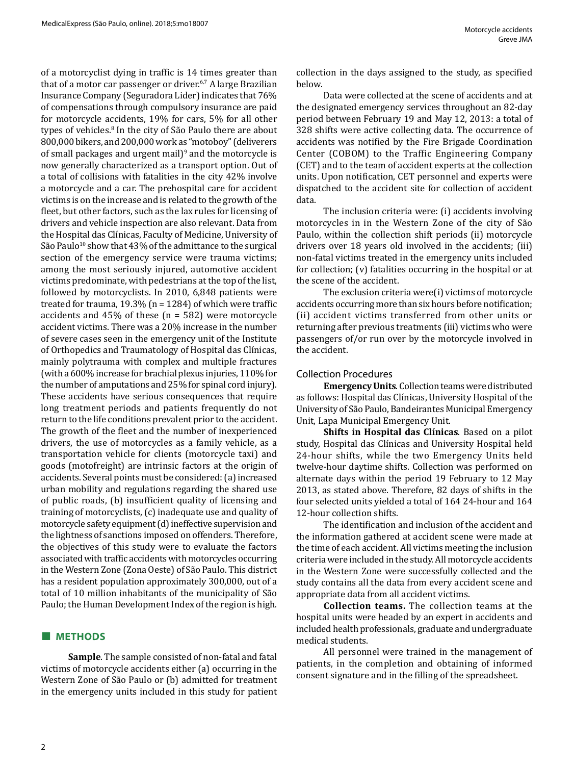of a motorcyclist dying in traffic is 14 times greater than that of a motor car passenger or driver.<sup>6,7</sup> A large Brazilian Insurance Company (Seguradora Lider) indicates that 76% of compensations through compulsory insurance are paid for motorcycle accidents, 19% for cars, 5% for all other types of vehicles.<sup>8</sup> In the city of São Paulo there are about 800,000 bikers, and 200,000 work as "motoboy" (deliverers of small packages and urgent mail)<sup>9</sup> and the motorcycle is now generally characterized as a transport option. Out of a total of collisions with fatalities in the city 42% involve a motorcycle and a car. The prehospital care for accident victims is on the increase and is related to the growth of the fleet, but other factors, such as the lax rules for licensing of drivers and vehicle inspection are also relevant. Data from the Hospital das Clínicas, Faculty of Medicine, University of São Paulo<sup>10</sup> show that  $43\%$  of the admittance to the surgical section of the emergency service were trauma victims; among the most seriously injured, automotive accident victims predominate, with pedestrians at the top of the list, followed by motorcyclists. In 2010, 6,848 patients were treated for trauma,  $19.3\%$  (n = 1284) of which were traffic accidents and 45% of these (n = 582) were motorcycle accident victims. There was a 20% increase in the number of severe cases seen in the emergency unit of the Institute of Orthopedics and Traumatology of Hospital das Clínicas, mainly polytrauma with complex and multiple fractures (with a 600% increase for brachial plexus injuries, 110% for the number of amputations and 25% for spinal cord injury). These accidents have serious consequences that require long treatment periods and patients frequently do not return to the life conditions prevalent prior to the accident. The growth of the fleet and the number of inexperienced drivers, the use of motorcycles as a family vehicle, as a transportation vehicle for clients (motorcycle taxi) and goods (motofreight) are intrinsic factors at the origin of accidents. Several points must be considered: (a) increased urban mobility and regulations regarding the shared use of public roads, (b) insufficient quality of licensing and training of motorcyclists, (c) inadequate use and quality of motorcycle safety equipment (d) ineffective supervision and the lightness of sanctions imposed on offenders. Therefore, the objectives of this study were to evaluate the factors associated with traffic accidents with motorcycles occurring in the Western Zone (Zona Oeste) of São Paulo. This district has a resident population approximately 300,000, out of a total of 10 million inhabitants of the municipality of São Paulo; the Human Development Index of the region is high.

## **■ METHODS**

**Sample**. The sample consisted of non-fatal and fatal victims of motorcycle accidents either (a) occurring in the Western Zone of São Paulo or (b) admitted for treatment in the emergency units included in this study for patient collection in the days assigned to the study, as specified below.

Data were collected at the scene of accidents and at the designated emergency services throughout an 82-day period between February 19 and May 12, 2013: a total of 328 shifts were active collecting data. The occurrence of accidents was notified by the Fire Brigade Coordination Center (COBOM) to the Traffic Engineering Company (CET) and to the team of accident experts at the collection units. Upon notification, CET personnel and experts were dispatched to the accident site for collection of accident data.

The inclusion criteria were: (i) accidents involving motorcycles in in the Western Zone of the city of São Paulo, within the collection shift periods (ii) motorcycle drivers over 18 years old involved in the accidents; (iii) non-fatal victims treated in the emergency units included for collection; (v) fatalities occurring in the hospital or at the scene of the accident.

The exclusion criteria were(i) victims of motorcycle accidents occurring more than six hours before notification; (ii) accident victims transferred from other units or returning after previous treatments (iii) victims who were passengers of/or run over by the motorcycle involved in the accident.

## Collection Procedures

**Emergency Units**. Collection teams were distributed as follows: Hospital das Clínicas, University Hospital of the University of São Paulo, Bandeirantes Municipal Emergency Unit, Lapa Municipal Emergency Unit.

**Shifts in Hospital das Clínicas**. Based on a pilot study, Hospital das Clínicas and University Hospital held 24-hour shifts, while the two Emergency Units held twelve-hour daytime shifts. Collection was performed on alternate days within the period 19 February to 12 May 2013, as stated above. Therefore, 82 days of shifts in the four selected units yielded a total of 164 24-hour and 164 12-hour collection shifts.

The identification and inclusion of the accident and the information gathered at accident scene were made at the time of each accident. All victims meeting the inclusion criteria were included in the study. All motorcycle accidents in the Western Zone were successfully collected and the study contains all the data from every accident scene and appropriate data from all accident victims.

**Collection teams.** The collection teams at the hospital units were headed by an expert in accidents and included health professionals, graduate and undergraduate medical students.

All personnel were trained in the management of patients, in the completion and obtaining of informed consent signature and in the filling of the spreadsheet.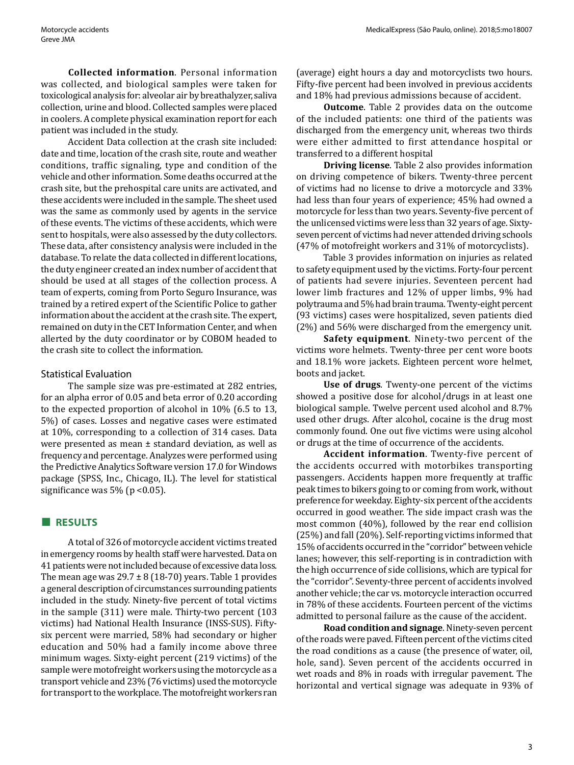**Collected information**. Personal information was collected, and biological samples were taken for toxicological analysis for: alveolar air by breathalyzer, saliva collection, urine and blood. Collected samples were placed in coolers. A complete physical examination report for each patient was included in the study.

Accident Data collection at the crash site included: date and time, location of the crash site, route and weather conditions, traffic signaling, type and condition of the vehicle and other information. Some deaths occurred at the crash site, but the prehospital care units are activated, and these accidents were included in the sample. The sheet used was the same as commonly used by agents in the service of these events. The victims of these accidents, which were sent to hospitals, were also assessed by the duty collectors. These data, after consistency analysis were included in the database. To relate the data collected in different locations, the duty engineer created an index number of accident that should be used at all stages of the collection process. A team of experts, coming from Porto Seguro Insurance, was trained by a retired expert of the Scientific Police to gather information about the accident at the crash site. The expert, remained on duty in the CET Information Center, and when allerted by the duty coordinator or by COBOM headed to the crash site to collect the information.

## Statistical Evaluation

The sample size was pre-estimated at 282 entries, for an alpha error of 0.05 and beta error of 0.20 according to the expected proportion of alcohol in 10% (6.5 to 13, 5%) of cases. Losses and negative cases were estimated at 10%, corresponding to a collection of 314 cases. Data were presented as mean ± standard deviation, as well as frequency and percentage. Analyzes were performed using the Predictive Analytics Software version 17.0 for Windows package (SPSS, Inc., Chicago, IL). The level for statistical significance was  $5\%$  (p < 0.05).

## **■ RESULTS**

A total of 326 of motorcycle accident victims treated in emergency rooms by health staff were harvested. Data on 41 patients were not included because of excessive data loss. The mean age was  $29.7 \pm 8$  (18-70) years. Table 1 provides a general description of circumstances surrounding patients included in the study. Ninety-five percent of total victims in the sample (311) were male. Thirty-two percent (103 victims) had National Health Insurance (INSS-SUS). Fiftysix percent were married, 58% had secondary or higher education and 50% had a family income above three minimum wages. Sixty-eight percent (219 victims) of the sample were motofreight workers using the motorcycle as a transport vehicle and 23% (76 victims) used the motorcycle for transport to the workplace. The motofreight workers ran (average) eight hours a day and motorcyclists two hours. Fifty-five percent had been involved in previous accidents and 18% had previous admissions because of accident.

**Outcome**. Table 2 provides data on the outcome of the included patients: one third of the patients was discharged from the emergency unit, whereas two thirds were either admitted to first attendance hospital or transferred to a different hospital

**Driving license**. Table 2 also provides information on driving competence of bikers. Twenty-three percent of victims had no license to drive a motorcycle and 33% had less than four years of experience; 45% had owned a motorcycle for less than two years. Seventy-five percent of the unlicensed victims were less than 32 years of age. Sixtyseven percent of victims had never attended driving schools (47% of motofreight workers and 31% of motorcyclists).

Table 3 provides information on injuries as related to safety equipment used by the victims. Forty-four percent of patients had severe injuries. Seventeen percent had lower limb fractures and 12% of upper limbs, 9% had polytrauma and 5% had brain trauma. Twenty-eight percent (93 victims) cases were hospitalized, seven patients died (2%) and 56% were discharged from the emergency unit.

**Safety equipment**. Ninety-two percent of the victims wore helmets. Twenty-three per cent wore boots and 18.1% wore jackets. Eighteen percent wore helmet, boots and jacket.

**Use of drugs**. Twenty-one percent of the victims showed a positive dose for alcohol/drugs in at least one biological sample. Twelve percent used alcohol and 8.7% used other drugs. After alcohol, cocaine is the drug most commonly found. One out five victims were using alcohol or drugs at the time of occurrence of the accidents.

**Accident information**. Twenty-five percent of the accidents occurred with motorbikes transporting passengers. Accidents happen more frequently at traffic peak times to bikers going to or coming from work, without preference for weekday. Eighty-six percent of the accidents occurred in good weather. The side impact crash was the most common (40%), followed by the rear end collision (25%) and fall (20%). Self-reporting victims informed that 15% of accidents occurred in the "corridor" between vehicle lanes; however, this self-reporting is in contradiction with the high occurrence of side collisions, which are typical for the "corridor". Seventy-three percent of accidents involved another vehicle; the car vs. motorcycle interaction occurred in 78% of these accidents. Fourteen percent of the victims admitted to personal failure as the cause of the accident.

**Road condition and signage**. Ninety-seven percent of the roads were paved. Fifteen percent of the victims cited the road conditions as a cause (the presence of water, oil, hole, sand). Seven percent of the accidents occurred in wet roads and 8% in roads with irregular pavement. The horizontal and vertical signage was adequate in 93% of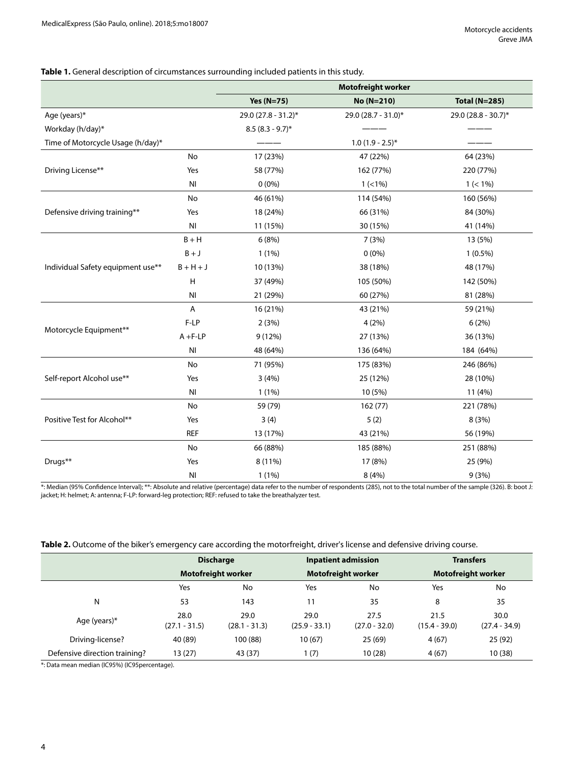## **Table 1.** General description of circumstances surrounding included patients in this study.

|                                   |                |                     | <b>Motofreight worker</b> |                      |
|-----------------------------------|----------------|---------------------|---------------------------|----------------------|
|                                   |                | Yes $(N=75)$        | No (N=210)                | <b>Total (N=285)</b> |
| Age (years)*                      |                | 29.0 (27.8 - 31.2)* | 29.0 (28.7 - 31.0)*       | 29.0 (28.8 - 30.7)*  |
| Workday (h/day)*                  |                | $8.5(8.3 - 9.7)^*$  |                           |                      |
| Time of Motorcycle Usage (h/day)* |                |                     | $1.0(1.9 - 2.5)^{*}$      |                      |
|                                   | No             | 17 (23%)            | 47 (22%)                  | 64 (23%)             |
| Driving License**                 | Yes            | 58 (77%)            | 162 (77%)                 | 220 (77%)            |
|                                   | NI             | $0(0\%)$            | $1 (< 1\%)$               | $1 (< 1\%)$          |
|                                   | No             | 46 (61%)            | 114 (54%)                 | 160 (56%)            |
| Defensive driving training**      | Yes            | 18 (24%)            | 66 (31%)                  | 84 (30%)             |
|                                   | N <sub>l</sub> | 11 (15%)            | 30 (15%)                  | 41 (14%)             |
|                                   | $B + H$        | 6(8%)               | 7 (3%)                    | 13 (5%)              |
|                                   | $B + J$        | $1(1\%)$            | $0(0\%)$                  | $1(0.5\%)$           |
| Individual Safety equipment use** | $B + H + J$    | 10 (13%)            | 38 (18%)                  | 48 (17%)             |
|                                   | H              | 37 (49%)            | 105 (50%)                 | 142 (50%)            |
|                                   | NI             | 21 (29%)            | 60 (27%)                  | 81 (28%)             |
|                                   | Α              | 16 (21%)            | 43 (21%)                  | 59 (21%)             |
|                                   | F-LP           | 2(3%)               | 4(2%)                     | 6(2%)                |
| Motorcycle Equipment**            | $A + F - LP$   | 9(12%)              | 27 (13%)                  | 36 (13%)             |
|                                   | N <sub>l</sub> | 48 (64%)            | 136 (64%)                 | 184 (64%)            |
|                                   | No             | 71 (95%)            | 175 (83%)                 | 246 (86%)            |
| Self-report Alcohol use**         | Yes            | 3(4%)               | 25 (12%)                  | 28 (10%)             |
|                                   | N <sub>l</sub> | $1(1\%)$            | 10 (5%)                   | 11 (4%)              |
| Positive Test for Alcohol**       | No             | 59 (79)             | 162(77)                   | 221 (78%)            |
|                                   | Yes            | 3(4)                | 5(2)                      | 8(3%)                |
|                                   | <b>REF</b>     | 13 (17%)            | 43 (21%)                  | 56 (19%)             |
|                                   | No             | 66 (88%)            | 185 (88%)                 | 251 (88%)            |
| Drugs**                           | Yes            | 8 (11%)             | 17 (8%)                   | 25 (9%)              |
|                                   | <b>NI</b>      | $1(1\%)$            | 8(4%)                     | 9(3%)                |

\*: Median (95% Confidence Interval); \*\*: Absolute and relative (percentage) data refer to the number of respondents (285), not to the total number of the sample (326). B: boot J: jacket; H: helmet; A: antenna; F-LP: forward-leg protection; REF: refused to take the breathalyzer test.

|                               | <b>Discharge</b><br><b>Motofreight worker</b> |                         | <b>Inpatient admission</b><br><b>Motofreight worker</b> |                         | <b>Transfers</b>          |                         |
|-------------------------------|-----------------------------------------------|-------------------------|---------------------------------------------------------|-------------------------|---------------------------|-------------------------|
|                               |                                               |                         |                                                         |                         | <b>Motofreight worker</b> |                         |
|                               | Yes                                           | No                      | Yes                                                     | No                      | Yes                       | No                      |
| N                             | 53                                            | 143                     |                                                         | 35                      | 8                         | 35                      |
| Age (years) $*$               | 28.0<br>$(27.1 - 31.5)$                       | 29.0<br>$(28.1 - 31.3)$ | 29.0<br>$(25.9 - 33.1)$                                 | 27.5<br>$(27.0 - 32.0)$ | 21.5<br>$(15.4 - 39.0)$   | 30.0<br>$(27.4 - 34.9)$ |
| Driving-license?              | 40 (89)                                       | 100 (88)                | 10(67)                                                  | 25(69)                  | 4(67)                     | 25 (92)                 |
| Defensive direction training? | 13 (27)                                       | 43 (37)                 | 1(7)                                                    | 10(28)                  | 4(67)                     | 10(38)                  |

\*: Data mean median (IC95%) (IC95percentage).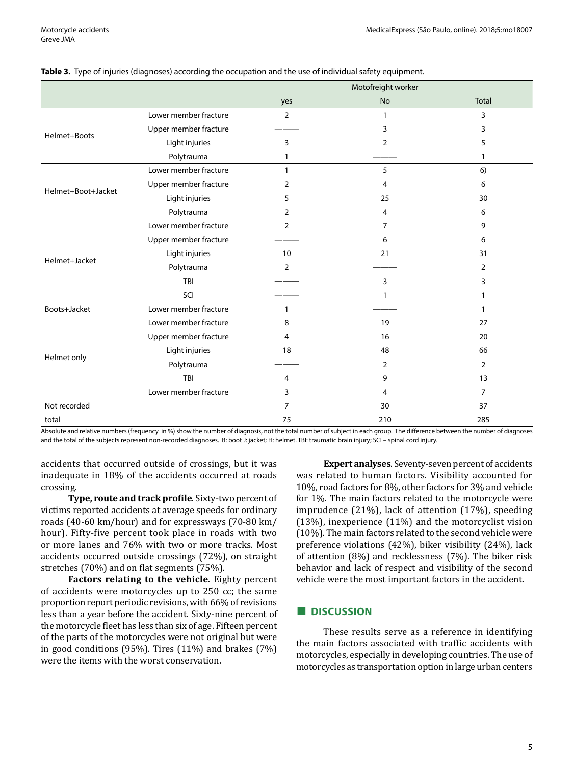|                    |                       | Motofreight worker |                |                |  |
|--------------------|-----------------------|--------------------|----------------|----------------|--|
|                    |                       | yes                | <b>No</b>      | Total          |  |
| Helmet+Boots       | Lower member fracture | $\overline{2}$     | 1              | 3              |  |
|                    | Upper member fracture |                    | 3              | 3              |  |
|                    | Light injuries        | 3                  | $\overline{2}$ | 5              |  |
|                    | Polytrauma            | 1                  |                | 1              |  |
| Helmet+Boot+Jacket | Lower member fracture |                    | 5              | 6)             |  |
|                    | Upper member fracture | 2                  | 4              | 6              |  |
|                    | Light injuries        | 5                  | 25             | 30             |  |
|                    | Polytrauma            | 2                  | 4              | 6              |  |
| Helmet+Jacket      | Lower member fracture | $\overline{2}$     | 7              | 9              |  |
|                    | Upper member fracture |                    | 6              | 6              |  |
|                    | Light injuries        | 10                 | 21             | 31             |  |
|                    | Polytrauma            | $\overline{2}$     |                | 2              |  |
|                    | TBI                   |                    | 3              | 3              |  |
|                    | SCI                   |                    | 1              | 1              |  |
| Boots+Jacket       | Lower member fracture | 1                  |                | $\mathbf{1}$   |  |
| Helmet only        | Lower member fracture | 8                  | 19             | 27             |  |
|                    | Upper member fracture | 4                  | 16             | 20             |  |
|                    | Light injuries        | 18                 | 48             | 66             |  |
|                    | Polytrauma            |                    | 2              | $\overline{2}$ |  |
|                    | TBI                   | 4                  | 9              | 13             |  |
|                    | Lower member fracture | 3                  | 4              | $\overline{7}$ |  |
| Not recorded       |                       | $\overline{7}$     | 30             | 37             |  |
| total              |                       | 75                 | 210            | 285            |  |

#### **Table 3.** Type of injuries (diagnoses) according the occupation and the use of individual safety equipment.

Absolute and relative numbers (frequency in %) show the number of diagnosis, not the total number of subject in each group. The difference between the number of diagnoses and the total of the subjects represent non-recorded diagnoses. B: boot J: jacket; H: helmet. TBI: traumatic brain injury; SCI – spinal cord injury.

accidents that occurred outside of crossings, but it was inadequate in 18% of the accidents occurred at roads crossing.

**Type, route and track profile**. Sixty-two percent of victims reported accidents at average speeds for ordinary roads (40-60 km/hour) and for expressways (70-80 km/ hour). Fifty-five percent took place in roads with two or more lanes and 76% with two or more tracks. Most accidents occurred outside crossings (72%), on straight stretches (70%) and on flat segments (75%).

**Factors relating to the vehicle**. Eighty percent of accidents were motorcycles up to 250 cc; the same proportion report periodic revisions, with 66% of revisions less than a year before the accident. Sixty-nine percent of the motorcycle fleet has less than six of age. Fifteen percent of the parts of the motorcycles were not original but were in good conditions (95%). Tires (11%) and brakes (7%) were the items with the worst conservation.

**Expert analyses**. Seventy-seven percent of accidents was related to human factors. Visibility accounted for 10%, road factors for 8%, other factors for 3% and vehicle for 1%. The main factors related to the motorcycle were imprudence (21%), lack of attention (17%), speeding (13%), inexperience (11%) and the motorcyclist vision (10%). The main factors related to the second vehicle were preference violations (42%), biker visibility (24%), lack of attention (8%) and recklessness (7%). The biker risk behavior and lack of respect and visibility of the second vehicle were the most important factors in the accident.

## **■ DISCUSSION**

These results serve as a reference in identifying the main factors associated with traffic accidents with motorcycles, especially in developing countries. The use of motorcycles as transportation option in large urban centers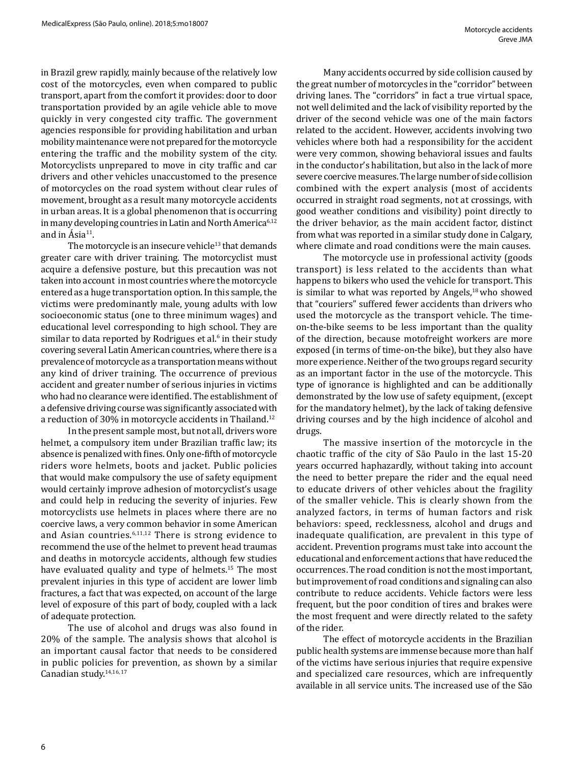in Brazil grew rapidly, mainly because of the relatively low cost of the motorcycles, even when compared to public transport, apart from the comfort it provides: door to door transportation provided by an agile vehicle able to move quickly in very congested city traffic. The government agencies responsible for providing habilitation and urban mobility maintenance were not prepared for the motorcycle entering the traffic and the mobility system of the city. Motorcyclists unprepared to move in city traffic and car drivers and other vehicles unaccustomed to the presence of motorcycles on the road system without clear rules of movement, brought as a result many motorcycle accidents in urban areas. It is a global phenomenon that is occurring in many developing countries in Latin and North America<sup>6,12</sup> and in  $\hat{A}$ sia<sup>11</sup>.

The motorcycle is an insecure vehicle $13$  that demands greater care with driver training. The motorcyclist must acquire a defensive posture, but this precaution was not taken into account in most countries where the motorcycle entered as a huge transportation option. In this sample, the victims were predominantly male, young adults with low socioeconomic status (one to three minimum wages) and educational level corresponding to high school. They are similar to data reported by Rodrigues et al.<sup>6</sup> in their study covering several Latin American countries, where there is a prevalence of motorcycle as a transportation means without any kind of driver training. The occurrence of previous accident and greater number of serious injuries in victims who had no clearance were identified. The establishment of a defensive driving course was significantly associated with a reduction of 30% in motorcycle accidents in Thailand.<sup>12</sup>

In the present sample most, but not all, drivers wore helmet, a compulsory item under Brazilian traffic law; its absence is penalized with fines. Only one-fifth of motorcycle riders wore helmets, boots and jacket. Public policies that would make compulsory the use of safety equipment would certainly improve adhesion of motorcyclist's usage and could help in reducing the severity of injuries. Few motorcyclists use helmets in places where there are no coercive laws, a very common behavior in some American and Asian countries.6,11,12 There is strong evidence to recommend the use of the helmet to prevent head traumas and deaths in motorcycle accidents, although few studies have evaluated quality and type of helmets.<sup>15</sup> The most prevalent injuries in this type of accident are lower limb fractures, a fact that was expected, on account of the large level of exposure of this part of body, coupled with a lack of adequate protection.

The use of alcohol and drugs was also found in 20% of the sample. The analysis shows that alcohol is an important causal factor that needs to be considered in public policies for prevention, as shown by a similar Canadian study.14,16, 17

Many accidents occurred by side collision caused by the great number of motorcycles in the "corridor" between driving lanes. The "corridors" in fact a true virtual space, not well delimited and the lack of visibility reported by the driver of the second vehicle was one of the main factors related to the accident. However, accidents involving two vehicles where both had a responsibility for the accident were very common, showing behavioral issues and faults in the conductor's habilitation, but also in the lack of more severe coercive measures. The large number of side collision combined with the expert analysis (most of accidents occurred in straight road segments, not at crossings, with good weather conditions and visibility) point directly to the driver behavior, as the main accident factor, distinct from what was reported in a similar study done in Calgary, where climate and road conditions were the main causes.

The motorcycle use in professional activity (goods transport) is less related to the accidents than what happens to bikers who used the vehicle for transport. This is similar to what was reported by Angels, $18$  who showed that "couriers" suffered fewer accidents than drivers who used the motorcycle as the transport vehicle. The timeon-the-bike seems to be less important than the quality of the direction, because motofreight workers are more exposed (in terms of time-on-the bike), but they also have more experience. Neither of the two groups regard security as an important factor in the use of the motorcycle. This type of ignorance is highlighted and can be additionally demonstrated by the low use of safety equipment, (except for the mandatory helmet), by the lack of taking defensive driving courses and by the high incidence of alcohol and drugs.

The massive insertion of the motorcycle in the chaotic traffic of the city of São Paulo in the last 15-20 years occurred haphazardly, without taking into account the need to better prepare the rider and the equal need to educate drivers of other vehicles about the fragility of the smaller vehicle. This is clearly shown from the analyzed factors, in terms of human factors and risk behaviors: speed, recklessness, alcohol and drugs and inadequate qualification, are prevalent in this type of accident. Prevention programs must take into account the educational and enforcement actions that have reduced the occurrences. The road condition is not the most important, but improvement of road conditions and signaling can also contribute to reduce accidents. Vehicle factors were less frequent, but the poor condition of tires and brakes were the most frequent and were directly related to the safety of the rider.

The effect of motorcycle accidents in the Brazilian public health systems are immense because more than half of the victims have serious injuries that require expensive and specialized care resources, which are infrequently available in all service units. The increased use of the São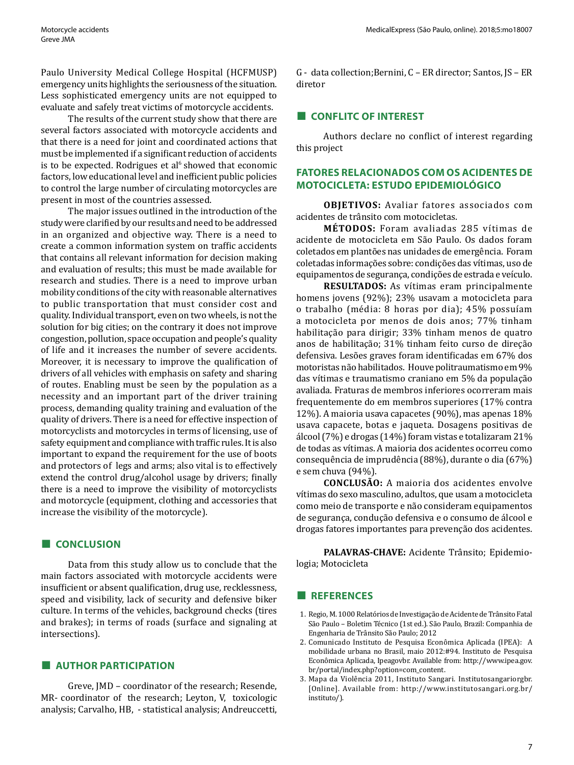Paulo University Medical College Hospital (HCFMUSP) emergency units highlights the seriousness of the situation. Less sophisticated emergency units are not equipped to evaluate and safely treat victims of motorcycle accidents.

The results of the current study show that there are several factors associated with motorcycle accidents and that there is a need for joint and coordinated actions that must be implemented if a significant reduction of accidents is to be expected. Rodrigues et al<sup> $6$ </sup> showed that economic factors, low educational level and inefficient public policies to control the large number of circulating motorcycles are present in most of the countries assessed.

The major issues outlined in the introduction of the study were clarified by our results and need to be addressed in an organized and objective way. There is a need to create a common information system on traffic accidents that contains all relevant information for decision making and evaluation of results; this must be made available for research and studies. There is a need to improve urban mobility conditions of the city with reasonable alternatives to public transportation that must consider cost and quality. Individual transport, even on two wheels, is not the solution for big cities; on the contrary it does not improve congestion, pollution, space occupation and people's quality of life and it increases the number of severe accidents. Moreover, it is necessary to improve the qualification of drivers of all vehicles with emphasis on safety and sharing of routes. Enabling must be seen by the population as a necessity and an important part of the driver training process, demanding quality training and evaluation of the quality of drivers. There is a need for effective inspection of motorcyclists and motorcycles in terms of licensing, use of safety equipment and compliance with traffic rules. It is also important to expand the requirement for the use of boots and protectors of legs and arms; also vital is to effectively extend the control drug/alcohol usage by drivers; finally there is a need to improve the visibility of motorcyclists and motorcycle (equipment, clothing and accessories that increase the visibility of the motorcycle).

## **■ CONCLUSION**

Data from this study allow us to conclude that the main factors associated with motorcycle accidents were insufficient or absent qualification, drug use, recklessness, speed and visibility, lack of security and defensive biker culture. In terms of the vehicles, background checks (tires and brakes); in terms of roads (surface and signaling at intersections).

## **■ AUTHOR PARTICIPATION**

Greve, JMD – coordinator of the research; Resende, MR- coordinator of the research; Leyton, V, toxicologic analysis; Carvalho, HB, - statistical analysis; Andreuccetti, G - data collection;Bernini, C – ER director; Santos, JS – ER diretor

## **■ CONFLITC OF INTEREST**

Authors declare no conflict of interest regarding this project

## **FATORES RELACIONADOS COM OS ACIDENTES DE MOTOCICLETA: ESTUDO EPIDEMIOLÓGICO**

**OBJETIVOS:** Avaliar fatores associados com acidentes de trânsito com motocicletas.

**MÉTODOS:** Foram avaliadas 285 vítimas de acidente de motocicleta em São Paulo. Os dados foram coletados em plantões nas unidades de emergência. Foram coletadas informações sobre: condições das vítimas, uso de equipamentos de segurança, condições de estrada e veículo.

**RESULTADOS:** As vítimas eram principalmente homens jovens (92%); 23% usavam a motocicleta para o trabalho (média: 8 horas por dia); 45% possuíam a motocicleta por menos de dois anos; 77% tinham habilitação para dirigir; 33% tinham menos de quatro anos de habilitação; 31% tinham feito curso de direção defensiva. Lesões graves foram identificadas em 67% dos motoristas não habilitados. Houve politraumatismo em 9% das vítimas e traumatismo craniano em 5% da população avaliada. Fraturas de membros inferiores ocorreram mais frequentemente do em membros superiores (17% contra 12%). A maioria usava capacetes (90%), mas apenas 18% usava capacete, botas e jaqueta. Dosagens positivas de álcool (7%) e drogas (14%) foram vistas e totalizaram 21% de todas as vítimas. A maioria dos acidentes ocorreu como consequência de imprudência (88%), durante o dia (67%) e sem chuva (94%).

**CONCLUSÃO:** A maioria dos acidentes envolve vítimas do sexo masculino, adultos, que usam a motocicleta como meio de transporte e não consideram equipamentos de segurança, condução defensiva e o consumo de álcool e drogas fatores importantes para prevenção dos acidentes.

**PALAVRAS-CHAVE:** Acidente Trânsito; Epidemiologia; Motocicleta

## **■ REFERENCES**

- 1. Regio, M. 1000 Relatórios de Investigação de Acidente de Trânsito Fatal São Paulo – Boletim Técnico (1st ed.). São Paulo, Brazil: Companhia de Engenharia de Trânsito São Paulo; 2012
- 2. Comunicado Instituto de Pesquisa Econômica Aplicada (IPEA): A mobilidade urbana no Brasil, maio 2012:#94. Instituto de Pesquisa Econômica Aplicada, Ipeagovbr. Available from: http://www.ipea.gov. br/portal/index.php?option=com\_content.
- 3. Mapa da Violência 2011, Instituto Sangari. Institutosangariorgbr. [Online]. Available from: http://www.institutosangari.org.br/ instituto/).